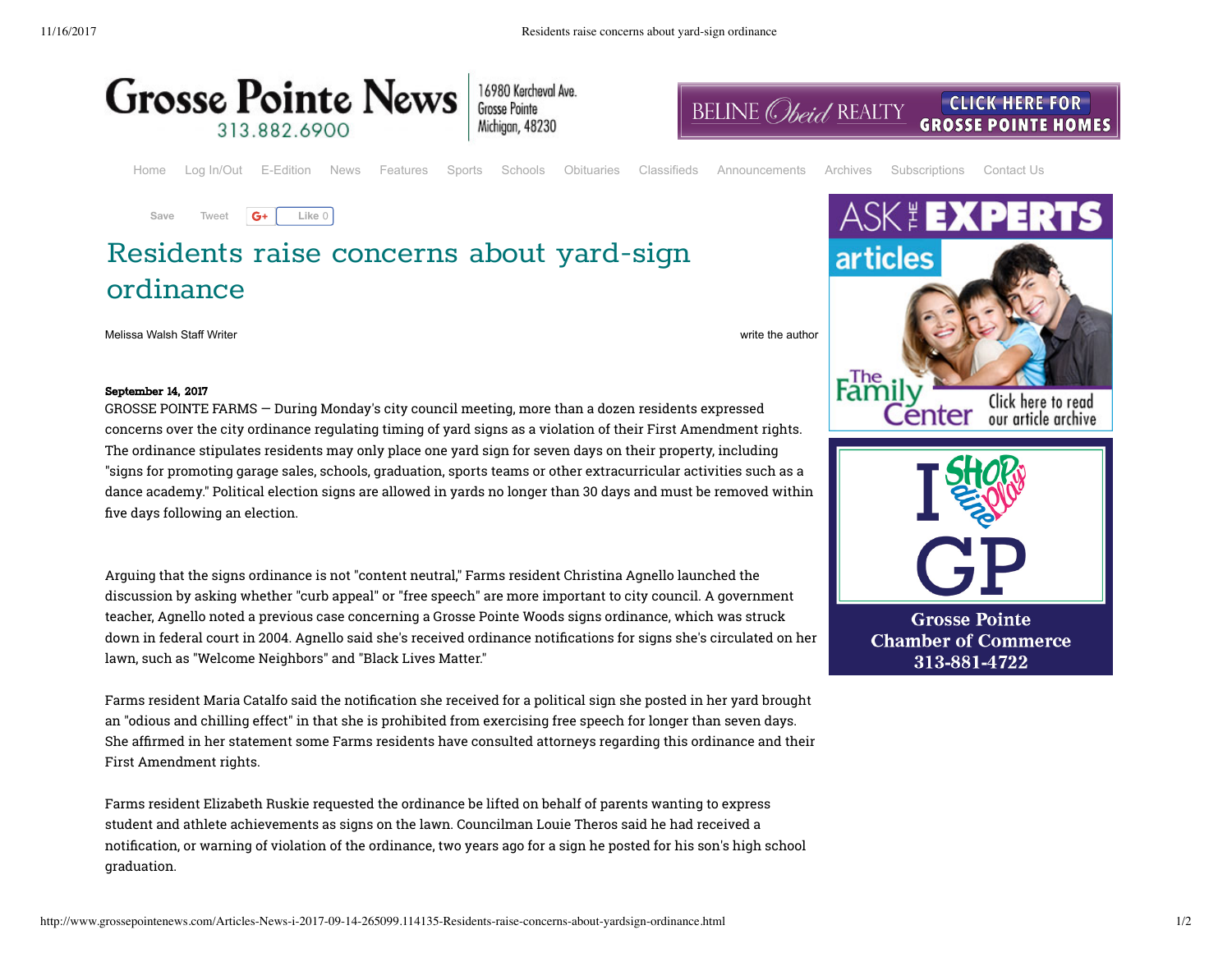

| 6980 Kercheval Ave |
|--------------------|
| irosse Pointe      |
| Aichigan, 48230    |

Home Log In/Out E-Edition News Features Sports Schools Obituaries Classifieds Announcements Archives Subscriptions Contact Us



G+ Like 0 **Save**

## Residents raise concerns about yard-sign ordinance

Melissa Walsh Staff Writer write the author write the author write the author write the author write the author

## September 14, 2017

GROSSE POINTE FARMS — During Monday's city council meeting, more than a dozen residents expressed concerns over the city ordinance regulating timing of yard signs as a violation of their First Amendment rights. The ordinance stipulates residents may only place one yard sign for seven days on their property, including "signs for promoting garage sales, schools, graduation, sports teams or other extracurricular activities such as a dance academy." Political election signs are allowed in yards no longer than 30 days and must be removed within five days following an election.

Arguing that the signs ordinance is not "content neutral," Farms resident Christina Agnello launched the discussion by asking whether "curb appeal" or "free speech" are more important to city council. A government teacher, Agnello noted a previous case concerning a Grosse Pointe Woods signs ordinance, which was struck down in federal court in 2004. Agnello said she's received ordinance notifications for signs she's circulated on her lawn, such as "Welcome Neighbors" and "Black Lives Matter."

Farms resident Maria Catalfo said the notification she received for a political sign she posted in her yard brought an "odious and chilling effect" in that she is prohibited from exercising free speech for longer than seven days. She afrmed in her statement some Farms residents have consulted attorneys regarding this ordinance and their First Amendment rights.

Farms resident Elizabeth Ruskie requested the ordinance be lifted on behalf of parents wanting to express student and athlete achievements as signs on the lawn. Councilman Louie Theros said he had received a notification, or warning of violation of the ordinance, two years ago for a sign he posted for his son's high school graduation.